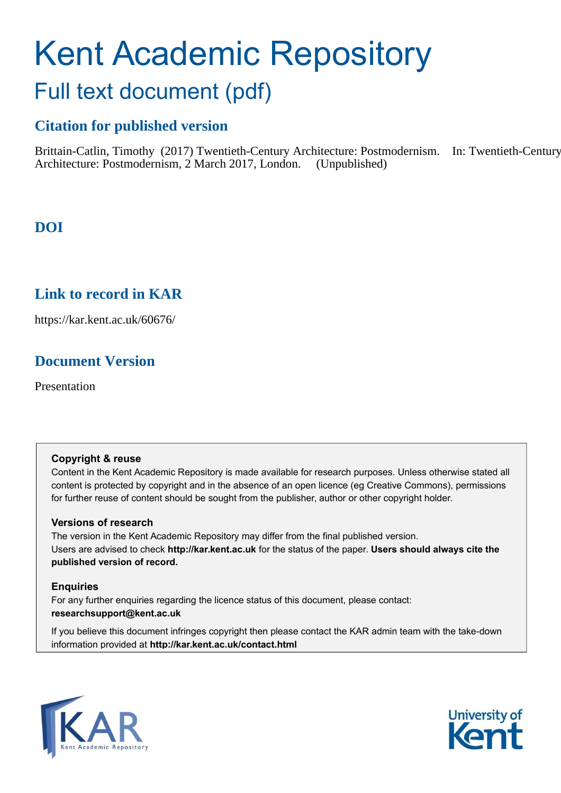# Kent Academic Repository Full text document (pdf)

# **Citation for published version**

Brittain-Catlin, Timothy (2017) Twentieth-Century Architecture: Postmodernism. In: Twentieth-Century Architecture: Postmodernism, 2 March 2017, London. (Unpublished)

# **DOI**

## **Link to record in KAR**

https://kar.kent.ac.uk/60676/

# **Document Version**

Presentation

#### **Copyright & reuse**

Content in the Kent Academic Repository is made available for research purposes. Unless otherwise stated all content is protected by copyright and in the absence of an open licence (eg Creative Commons), permissions for further reuse of content should be sought from the publisher, author or other copyright holder.

#### **Versions of research**

The version in the Kent Academic Repository may differ from the final published version. Users are advised to check **http://kar.kent.ac.uk** for the status of the paper. **Users should always cite the published version of record.**

#### **Enquiries**

For any further enquiries regarding the licence status of this document, please contact: **researchsupport@kent.ac.uk**

If you believe this document infringes copyright then please contact the KAR admin team with the take-down information provided at **http://kar.kent.ac.uk/contact.html**



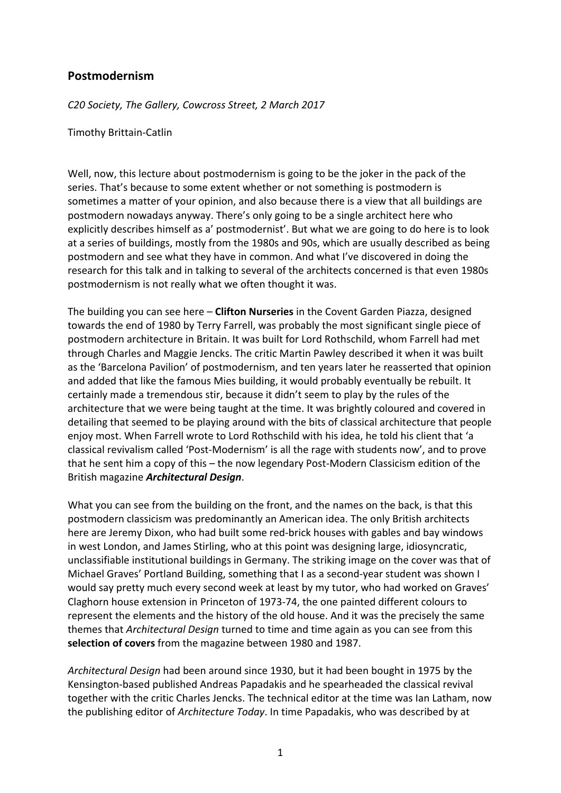### **Postmodernism**

*C20 Society, The Gallery, Cowcross Street, 2 March 2017*

Timothy Brittain-Catlin

Well, now, this lecture about postmodernism is going to be the joker in the pack of the series. That's because to some extent whether or not something is postmodern is sometimes a matter of your opinion, and also because there is a view that all buildings are postmodern nowadays anyway. There's only going to be a single architect here who explicitly describes himself as a' postmodernist'. But what we are going to do here is to look at a series of buildings, mostly from the 1980s and 90s, which are usually described as being postmodern and see what they have in common. And what I've discovered in doing the research for this talk and in talking to several of the architects concerned is that even 1980s postmodernism is not really what we often thought it was.

The building you can see here - **Clifton Nurseries** in the Covent Garden Piazza, designed towards the end of 1980 by Terry Farrell, was probably the most significant single piece of postmodern architecture in Britain. It was built for Lord Rothschild, whom Farrell had met through Charles and Maggie Jencks. The critic Martin Pawley described it when it was built as the 'Barcelona Pavilion' of postmodernism, and ten years later he reasserted that opinion and added that like the famous Mies building, it would probably eventually be rebuilt. It certainly made a tremendous stir, because it didn't seem to play by the rules of the architecture that we were being taught at the time. It was brightly coloured and covered in detailing that seemed to be playing around with the bits of classical architecture that people enjoy most. When Farrell wrote to Lord Rothschild with his idea, he told his client that 'a classical revivalism called 'Post-Modernism' is all the rage with students now', and to prove that he sent him a copy of this - the now legendary Post-Modern Classicism edition of the British magazine *Architectural Design*.

What you can see from the building on the front, and the names on the back, is that this postmodern classicism was predominantly an American idea. The only British architects here are Jeremy Dixon, who had built some red-brick houses with gables and bay windows in west London, and James Stirling, who at this point was designing large, idiosyncratic, unclassifiable institutional buildings in Germany. The striking image on the cover was that of Michael Graves' Portland Building, something that I as a second-year student was shown I would say pretty much every second week at least by my tutor, who had worked on Graves' Claghorn house extension in Princeton of 1973-74, the one painted different colours to represent the elements and the history of the old house. And it was the precisely the same themes that *Architectural Design* turned to time and time again as you can see from this selection of covers from the magazine between 1980 and 1987.

*Architectural Design* had been around since 1930, but it had been bought in 1975 by the Kensington-based published Andreas Papadakis and he spearheaded the classical revival together with the critic Charles Jencks. The technical editor at the time was Ian Latham, now the publishing editor of *Architecture Today*. In time Papadakis, who was described by at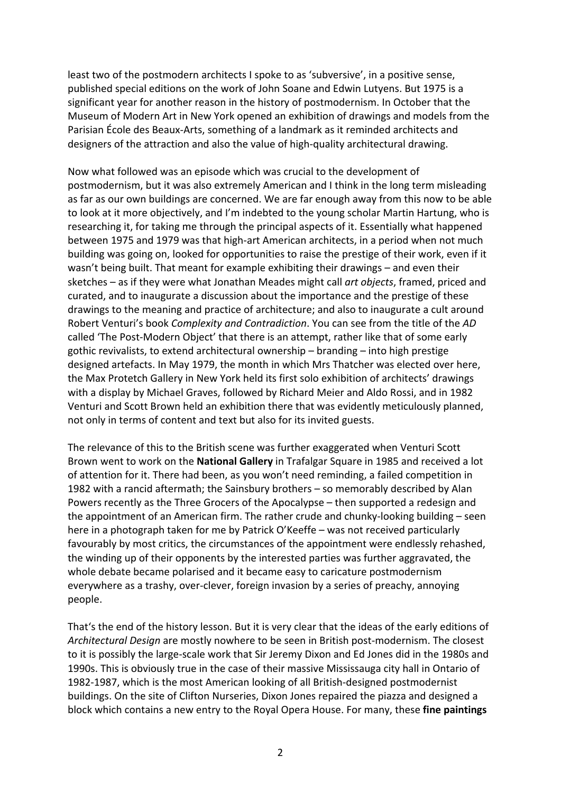least two of the postmodern architects I spoke to as 'subversive', in a positive sense, published special editions on the work of John Soane and Edwin Lutyens. But 1975 is a significant year for another reason in the history of postmodernism. In October that the Museum of Modern Art in New York opened an exhibition of drawings and models from the Parisian École des Beaux-Arts, something of a landmark as it reminded architects and designers of the attraction and also the value of high-quality architectural drawing.

Now what followed was an episode which was crucial to the development of postmodernism, but it was also extremely American and I think in the long term misleading as far as our own buildings are concerned. We are far enough away from this now to be able to look at it more objectively, and I'm indebted to the young scholar Martin Hartung, who is researching it, for taking me through the principal aspects of it. Essentially what happened between 1975 and 1979 was that high-art American architects, in a period when not much building was going on, looked for opportunities to raise the prestige of their work, even if it wasn't being built. That meant for example exhibiting their drawings – and even their sketches – as if they were what Jonathan Meades might call *art objects*, framed, priced and curated, and to inaugurate a discussion about the importance and the prestige of these drawings to the meaning and practice of architecture; and also to inaugurate a cult around Robert Venturi's book *Complexity and Contradiction*. You can see from the title of the AD called 'The Post-Modern Object' that there is an attempt, rather like that of some early gothic revivalists, to extend architectural ownership  $-$  branding  $-$  into high prestige designed artefacts. In May 1979, the month in which Mrs Thatcher was elected over here, the Max Protetch Gallery in New York held its first solo exhibition of architects' drawings with a display by Michael Graves, followed by Richard Meier and Aldo Rossi, and in 1982 Venturi and Scott Brown held an exhibition there that was evidently meticulously planned, not only in terms of content and text but also for its invited guests.

The relevance of this to the British scene was further exaggerated when Venturi Scott Brown went to work on the National Gallery in Trafalgar Square in 1985 and received a lot of attention for it. There had been, as you won't need reminding, a failed competition in 1982 with a rancid aftermath; the Sainsbury brothers  $-$  so memorably described by Alan Powers recently as the Three Grocers of the Apocalypse - then supported a redesign and the appointment of an American firm. The rather crude and chunky-looking building - seen here in a photograph taken for me by Patrick O'Keeffe – was not received particularly favourably by most critics, the circumstances of the appointment were endlessly rehashed, the winding up of their opponents by the interested parties was further aggravated, the whole debate became polarised and it became easy to caricature postmodernism everywhere as a trashy, over-clever, foreign invasion by a series of preachy, annoying people.

That's the end of the history lesson. But it is very clear that the ideas of the early editions of *Architectural Design* are mostly nowhere to be seen in British post-modernism. The closest to it is possibly the large-scale work that Sir Jeremy Dixon and Ed Jones did in the 1980s and 1990s. This is obviously true in the case of their massive Mississauga city hall in Ontario of 1982-1987, which is the most American looking of all British-designed postmodernist buildings. On the site of Clifton Nurseries, Dixon Jones repaired the piazza and designed a block which contains a new entry to the Royal Opera House. For many, these **fine paintings**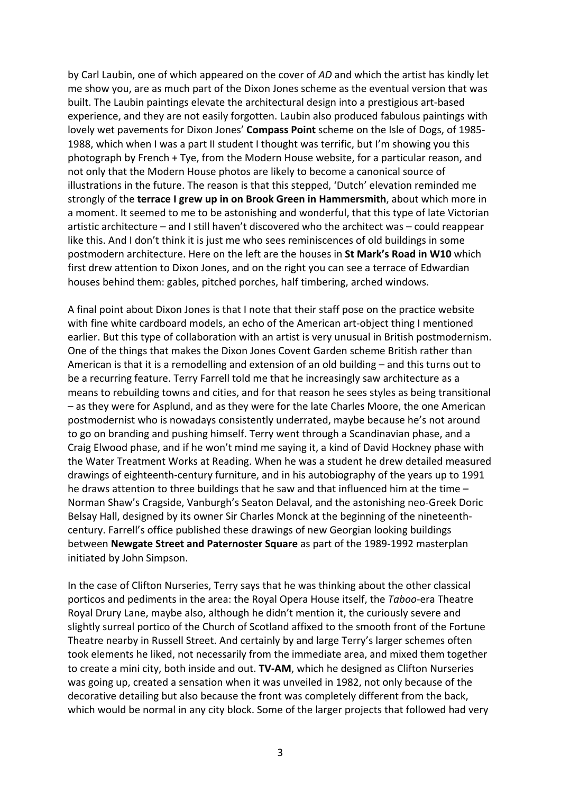by Carl Laubin, one of which appeared on the cover of *AD* and which the artist has kindly let me show you, are as much part of the Dixon Jones scheme as the eventual version that was built. The Laubin paintings elevate the architectural design into a prestigious art-based experience, and they are not easily forgotten. Laubin also produced fabulous paintings with lovely wet pavements for Dixon Jones' Compass Point scheme on the Isle of Dogs, of 1985-1988, which when I was a part II student I thought was terrific, but I'm showing you this photograph by French + Tye, from the Modern House website, for a particular reason, and not only that the Modern House photos are likely to become a canonical source of illustrations in the future. The reason is that this stepped, 'Dutch' elevation reminded me strongly of the **terrace I grew up in on Brook Green in Hammersmith**, about which more in a moment. It seemed to me to be astonishing and wonderful, that this type of late Victorian artistic architecture – and I still haven't discovered who the architect was – could reappear like this. And I don't think it is just me who sees reminiscences of old buildings in some postmodern architecture. Here on the left are the houses in St Mark's Road in W10 which first drew attention to Dixon Jones, and on the right you can see a terrace of Edwardian houses behind them: gables, pitched porches, half timbering, arched windows.

A final point about Dixon Jones is that I note that their staff pose on the practice website with fine white cardboard models, an echo of the American art-object thing I mentioned earlier. But this type of collaboration with an artist is very unusual in British postmodernism. One of the things that makes the Dixon Jones Covent Garden scheme British rather than American is that it is a remodelling and extension of an old building  $-$  and this turns out to be a recurring feature. Terry Farrell told me that he increasingly saw architecture as a means to rebuilding towns and cities, and for that reason he sees styles as being transitional - as they were for Asplund, and as they were for the late Charles Moore, the one American postmodernist who is nowadays consistently underrated, maybe because he's not around to go on branding and pushing himself. Terry went through a Scandinavian phase, and a Craig Elwood phase, and if he won't mind me saying it, a kind of David Hockney phase with the Water Treatment Works at Reading. When he was a student he drew detailed measured drawings of eighteenth-century furniture, and in his autobiography of the years up to 1991 he draws attention to three buildings that he saw and that influenced him at the time  $-$ Norman Shaw's Cragside, Vanburgh's Seaton Delaval, and the astonishing neo-Greek Doric Belsay Hall, designed by its owner Sir Charles Monck at the beginning of the nineteenthcentury. Farrell's office published these drawings of new Georgian looking buildings **between Newgate Street and Paternoster Square** as part of the 1989-1992 masterplan initiated by John Simpson.

In the case of Clifton Nurseries, Terry says that he was thinking about the other classical porticos and pediments in the area: the Royal Opera House itself, the Taboo-era Theatre Royal Drury Lane, maybe also, although he didn't mention it, the curiously severe and slightly surreal portico of the Church of Scotland affixed to the smooth front of the Fortune Theatre nearby in Russell Street. And certainly by and large Terry's larger schemes often took elements he liked, not necessarily from the immediate area, and mixed them together to create a mini city, both inside and out. **TV-AM**, which he designed as Clifton Nurseries was going up, created a sensation when it was unveiled in 1982, not only because of the decorative detailing but also because the front was completely different from the back, which would be normal in any city block. Some of the larger projects that followed had very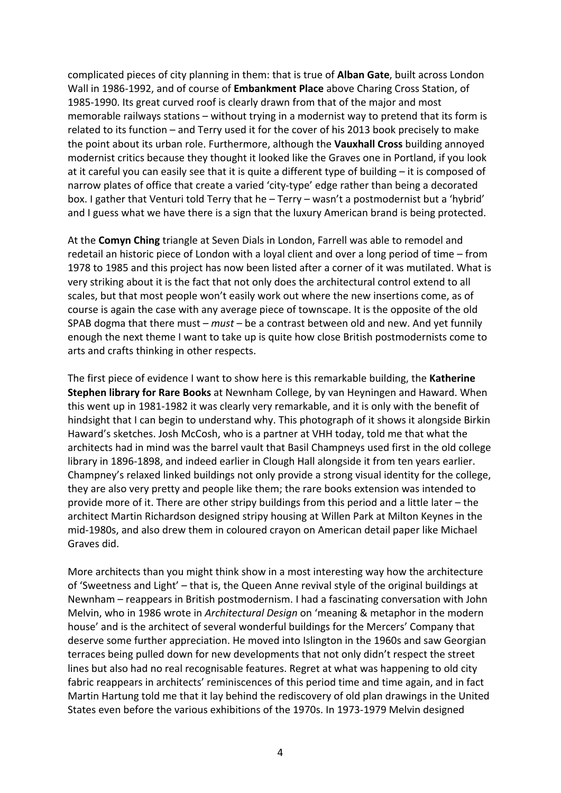complicated pieces of city planning in them: that is true of **Alban Gate**, built across London Wall in 1986-1992, and of course of **Embankment Place** above Charing Cross Station, of 1985-1990. Its great curved roof is clearly drawn from that of the major and most memorable railways stations  $-$  without trying in a modernist way to pretend that its form is related to its function  $-$  and Terry used it for the cover of his 2013 book precisely to make the point about its urban role. Furthermore, although the **Vauxhall Cross** building annoyed modernist critics because they thought it looked like the Graves one in Portland, if you look at it careful you can easily see that it is quite a different type of building  $-$  it is composed of narrow plates of office that create a varied 'city-type' edge rather than being a decorated box. I gather that Venturi told Terry that he - Terry - wasn't a postmodernist but a 'hybrid' and I guess what we have there is a sign that the luxury American brand is being protected.

At the **Comyn Ching** triangle at Seven Dials in London, Farrell was able to remodel and redetail an historic piece of London with a loyal client and over a long period of time – from 1978 to 1985 and this project has now been listed after a corner of it was mutilated. What is very striking about it is the fact that not only does the architectural control extend to all scales, but that most people won't easily work out where the new insertions come, as of course is again the case with any average piece of townscape. It is the opposite of the old SPAB dogma that there must – *must* – be a contrast between old and new. And yet funnily enough the next theme I want to take up is quite how close British postmodernists come to arts and crafts thinking in other respects.

The first piece of evidence I want to show here is this remarkable building, the Katherine **Stephen library for Rare Books** at Newnham College, by van Heyningen and Haward. When this went up in 1981-1982 it was clearly very remarkable, and it is only with the benefit of hindsight that I can begin to understand why. This photograph of it shows it alongside Birkin Haward's sketches. Josh McCosh, who is a partner at VHH today, told me that what the architects had in mind was the barrel vault that Basil Champneys used first in the old college library in 1896-1898, and indeed earlier in Clough Hall alongside it from ten years earlier. Champney's relaxed linked buildings not only provide a strong visual identity for the college, they are also very pretty and people like them; the rare books extension was intended to provide more of it. There are other stripy buildings from this period and a little later – the architect Martin Richardson designed stripy housing at Willen Park at Milton Keynes in the mid-1980s, and also drew them in coloured crayon on American detail paper like Michael Graves did.

More architects than you might think show in a most interesting way how the architecture of 'Sweetness and Light' – that is, the Queen Anne revival style of the original buildings at Newnham – reappears in British postmodernism. I had a fascinating conversation with John Melvin, who in 1986 wrote in *Architectural Design* on 'meaning & metaphor in the modern house' and is the architect of several wonderful buildings for the Mercers' Company that deserve some further appreciation. He moved into Islington in the 1960s and saw Georgian terraces being pulled down for new developments that not only didn't respect the street lines but also had no real recognisable features. Regret at what was happening to old city fabric reappears in architects' reminiscences of this period time and time again, and in fact Martin Hartung told me that it lay behind the rediscovery of old plan drawings in the United States even before the various exhibitions of the 1970s. In 1973-1979 Melvin designed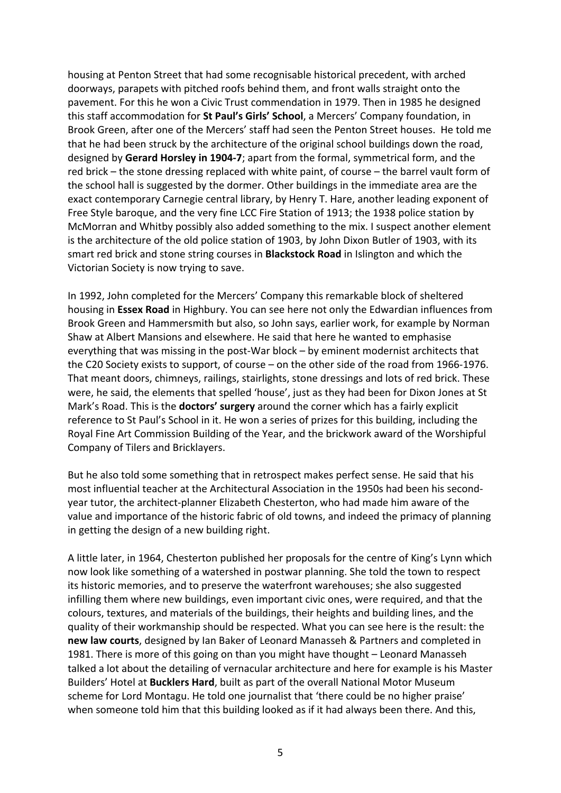housing at Penton Street that had some recognisable historical precedent, with arched doorways, parapets with pitched roofs behind them, and front walls straight onto the pavement. For this he won a Civic Trust commendation in 1979. Then in 1985 he designed this staff accommodation for **St Paul's Girls' School**, a Mercers' Company foundation, in Brook Green, after one of the Mercers' staff had seen the Penton Street houses. He told me that he had been struck by the architecture of the original school buildings down the road, designed by Gerard Horsley in 1904-7; apart from the formal, symmetrical form, and the red brick  $-$  the stone dressing replaced with white paint, of course  $-$  the barrel vault form of the school hall is suggested by the dormer. Other buildings in the immediate area are the exact contemporary Carnegie central library, by Henry T. Hare, another leading exponent of Free Style baroque, and the very fine LCC Fire Station of 1913; the 1938 police station by McMorran and Whitby possibly also added something to the mix. I suspect another element is the architecture of the old police station of 1903, by John Dixon Butler of 1903, with its smart red brick and stone string courses in **Blackstock Road** in Islington and which the Victorian Society is now trying to save.

In 1992, John completed for the Mercers' Company this remarkable block of sheltered housing in **Essex Road** in Highbury. You can see here not only the Edwardian influences from Brook Green and Hammersmith but also, so John says, earlier work, for example by Norman Shaw at Albert Mansions and elsewhere. He said that here he wanted to emphasise everything that was missing in the post-War block  $-$  by eminent modernist architects that the C20 Society exists to support, of course – on the other side of the road from 1966-1976. That meant doors, chimneys, railings, stairlights, stone dressings and lots of red brick. These were, he said, the elements that spelled 'house', just as they had been for Dixon Jones at St Mark's Road. This is the **doctors' surgery** around the corner which has a fairly explicit reference to St Paul's School in it. He won a series of prizes for this building, including the Royal Fine Art Commission Building of the Year, and the brickwork award of the Worshipful Company of Tilers and Bricklayers.

But he also told some something that in retrospect makes perfect sense. He said that his most influential teacher at the Architectural Association in the 1950s had been his secondyear tutor, the architect-planner Elizabeth Chesterton, who had made him aware of the value and importance of the historic fabric of old towns, and indeed the primacy of planning in getting the design of a new building right.

A little later, in 1964, Chesterton published her proposals for the centre of King's Lynn which now look like something of a watershed in postwar planning. She told the town to respect its historic memories, and to preserve the waterfront warehouses; she also suggested infilling them where new buildings, even important civic ones, were required, and that the colours, textures, and materials of the buildings, their heights and building lines, and the quality of their workmanship should be respected. What you can see here is the result: the **new law courts**, designed by Ian Baker of Leonard Manasseh & Partners and completed in 1981. There is more of this going on than you might have thought  $-$  Leonard Manasseh talked a lot about the detailing of vernacular architecture and here for example is his Master Builders' Hotel at **Bucklers Hard**, built as part of the overall National Motor Museum scheme for Lord Montagu. He told one journalist that 'there could be no higher praise' when someone told him that this building looked as if it had always been there. And this,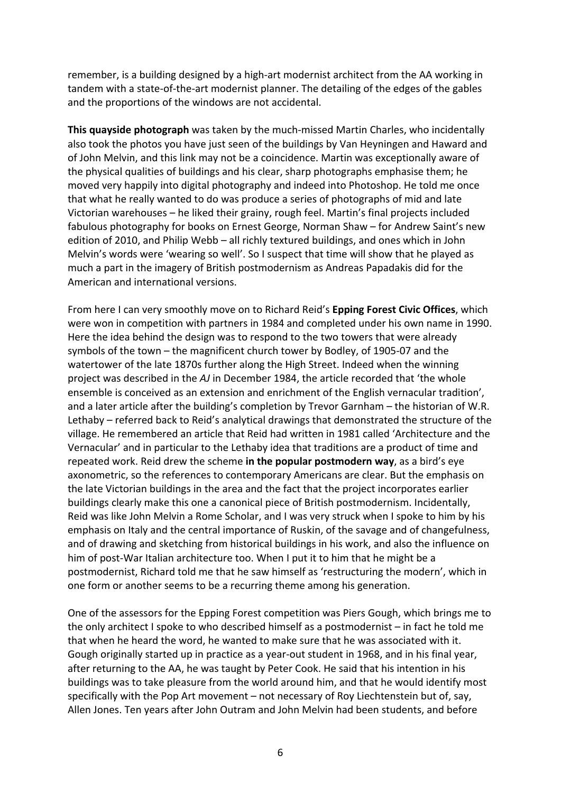remember, is a building designed by a high-art modernist architect from the AA working in tandem with a state-of-the-art modernist planner. The detailing of the edges of the gables and the proportions of the windows are not accidental.

**This quayside photograph** was taken by the much-missed Martin Charles, who incidentally also took the photos you have just seen of the buildings by Van Heyningen and Haward and of John Melvin, and this link may not be a coincidence. Martin was exceptionally aware of the physical qualities of buildings and his clear, sharp photographs emphasise them; he moved very happily into digital photography and indeed into Photoshop. He told me once that what he really wanted to do was produce a series of photographs of mid and late Victorian warehouses – he liked their grainy, rough feel. Martin's final projects included fabulous photography for books on Ernest George, Norman Shaw – for Andrew Saint's new edition of 2010, and Philip Webb – all richly textured buildings, and ones which in John Melvin's words were 'wearing so well'. So I suspect that time will show that he played as much a part in the imagery of British postmodernism as Andreas Papadakis did for the American and international versions.

From here I can very smoothly move on to Richard Reid's **Epping Forest Civic Offices**, which were won in competition with partners in 1984 and completed under his own name in 1990. Here the idea behind the design was to respond to the two towers that were already symbols of the town  $-$  the magnificent church tower by Bodley, of 1905-07 and the watertower of the late 1870s further along the High Street. Indeed when the winning project was described in the AJ in December 1984, the article recorded that 'the whole ensemble is conceived as an extension and enrichment of the English vernacular tradition', and a later article after the building's completion by Trevor Garnham – the historian of W.R. Lethaby – referred back to Reid's analytical drawings that demonstrated the structure of the village. He remembered an article that Reid had written in 1981 called 'Architecture and the Vernacular' and in particular to the Lethaby idea that traditions are a product of time and repeated work. Reid drew the scheme in the popular postmodern way, as a bird's eye axonometric, so the references to contemporary Americans are clear. But the emphasis on the late Victorian buildings in the area and the fact that the project incorporates earlier buildings clearly make this one a canonical piece of British postmodernism. Incidentally, Reid was like John Melvin a Rome Scholar, and I was very struck when I spoke to him by his emphasis on Italy and the central importance of Ruskin, of the savage and of changefulness, and of drawing and sketching from historical buildings in his work, and also the influence on him of post-War Italian architecture too. When I put it to him that he might be a postmodernist, Richard told me that he saw himself as 'restructuring the modern', which in one form or another seems to be a recurring theme among his generation.

One of the assessors for the Epping Forest competition was Piers Gough, which brings me to the only architect I spoke to who described himself as a postmodernist  $-$  in fact he told me that when he heard the word, he wanted to make sure that he was associated with it. Gough originally started up in practice as a year-out student in 1968, and in his final year, after returning to the AA, he was taught by Peter Cook. He said that his intention in his buildings was to take pleasure from the world around him, and that he would identify most specifically with the Pop Art movement  $-$  not necessary of Roy Liechtenstein but of, say, Allen Jones. Ten years after John Outram and John Melvin had been students, and before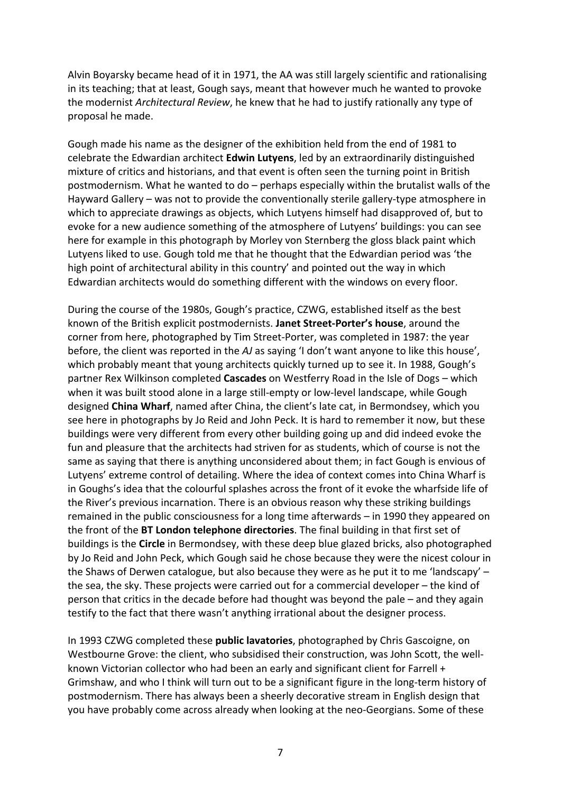Alvin Boyarsky became head of it in 1971, the AA was still largely scientific and rationalising in its teaching; that at least, Gough says, meant that however much he wanted to provoke the modernist *Architectural Review*, he knew that he had to justify rationally any type of proposal he made.

Gough made his name as the designer of the exhibition held from the end of 1981 to celebrate the Edwardian architect **Edwin Lutyens**, led by an extraordinarily distinguished mixture of critics and historians, and that event is often seen the turning point in British postmodernism. What he wanted to do – perhaps especially within the brutalist walls of the Hayward Gallery – was not to provide the conventionally sterile gallery-type atmosphere in which to appreciate drawings as objects, which Lutyens himself had disapproved of, but to evoke for a new audience something of the atmosphere of Lutyens' buildings: you can see here for example in this photograph by Morley von Sternberg the gloss black paint which Lutyens liked to use. Gough told me that he thought that the Edwardian period was 'the high point of architectural ability in this country' and pointed out the way in which Edwardian architects would do something different with the windows on every floor.

During the course of the 1980s, Gough's practice, CZWG, established itself as the best known of the British explicit postmodernists. Janet Street-Porter's house, around the corner from here, photographed by Tim Street-Porter, was completed in 1987: the year before, the client was reported in the AJ as saying 'I don't want anyone to like this house', which probably meant that young architects quickly turned up to see it. In 1988, Gough's partner Rex Wilkinson completed **Cascades** on Westferry Road in the Isle of Dogs – which when it was built stood alone in a large still-empty or low-level landscape, while Gough designed **China Wharf**, named after China, the client's late cat, in Bermondsey, which you see here in photographs by Jo Reid and John Peck. It is hard to remember it now, but these buildings were very different from every other building going up and did indeed evoke the fun and pleasure that the architects had striven for as students, which of course is not the same as saying that there is anything unconsidered about them; in fact Gough is envious of Lutyens' extreme control of detailing. Where the idea of context comes into China Wharf is in Goughs's idea that the colourful splashes across the front of it evoke the wharfside life of the River's previous incarnation. There is an obvious reason why these striking buildings remained in the public consciousness for a long time afterwards – in 1990 they appeared on the front of the BT London telephone directories. The final building in that first set of buildings is the **Circle** in Bermondsey, with these deep blue glazed bricks, also photographed by Jo Reid and John Peck, which Gough said he chose because they were the nicest colour in the Shaws of Derwen catalogue, but also because they were as he put it to me 'landscapy'  $$ the sea, the sky. These projects were carried out for a commercial developer  $-$  the kind of person that critics in the decade before had thought was beyond the pale – and they again testify to the fact that there wasn't anything irrational about the designer process.

In 1993 CZWG completed these **public lavatories**, photographed by Chris Gascoigne, on Westbourne Grove: the client, who subsidised their construction, was John Scott, the wellknown Victorian collector who had been an early and significant client for Farrell  $+$ Grimshaw, and who I think will turn out to be a significant figure in the long-term history of postmodernism. There has always been a sheerly decorative stream in English design that you have probably come across already when looking at the neo-Georgians. Some of these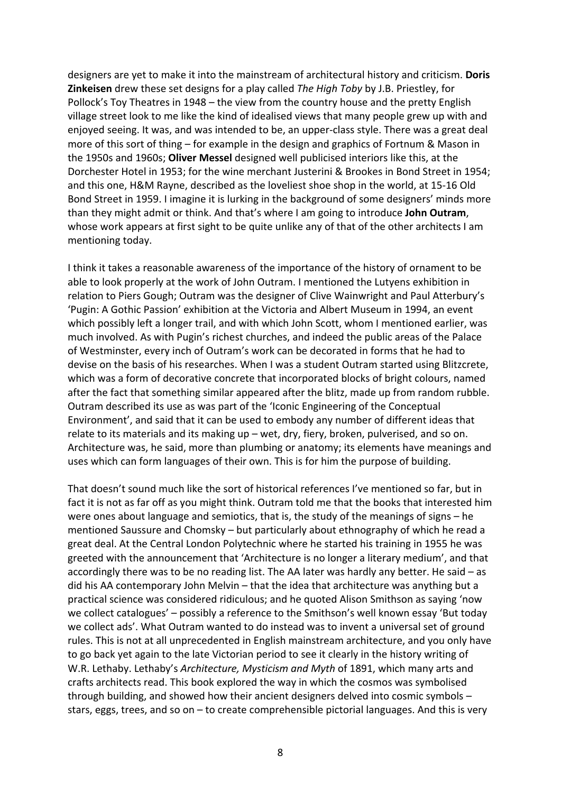designers are yet to make it into the mainstream of architectural history and criticism. **Doris Zinkeisen** drew these set designs for a play called *The High Toby* by J.B. Priestley, for Pollock's Toy Theatres in 1948 – the view from the country house and the pretty English village street look to me like the kind of idealised views that many people grew up with and enjoyed seeing. It was, and was intended to be, an upper-class style. There was a great deal more of this sort of thing – for example in the design and graphics of Fortnum & Mason in the 1950s and 1960s; **Oliver Messel** designed well publicised interiors like this, at the Dorchester Hotel in 1953; for the wine merchant Justerini & Brookes in Bond Street in 1954; and this one, H&M Rayne, described as the loveliest shoe shop in the world, at 15-16 Old Bond Street in 1959. I imagine it is lurking in the background of some designers' minds more than they might admit or think. And that's where I am going to introduce **John Outram**, whose work appears at first sight to be quite unlike any of that of the other architects I am mentioning today.

I think it takes a reasonable awareness of the importance of the history of ornament to be able to look properly at the work of John Outram. I mentioned the Lutyens exhibition in relation to Piers Gough; Outram was the designer of Clive Wainwright and Paul Atterbury's 'Pugin: A Gothic Passion' exhibition at the Victoria and Albert Museum in 1994, an event which possibly left a longer trail, and with which John Scott, whom I mentioned earlier, was much involved. As with Pugin's richest churches, and indeed the public areas of the Palace of Westminster, every inch of Outram's work can be decorated in forms that he had to devise on the basis of his researches. When I was a student Outram started using Blitzcrete, which was a form of decorative concrete that incorporated blocks of bright colours, named after the fact that something similar appeared after the blitz, made up from random rubble. Outram described its use as was part of the 'Iconic Engineering of the Conceptual Environment', and said that it can be used to embody any number of different ideas that relate to its materials and its making  $up - wet$ , dry, fiery, broken, pulverised, and so on. Architecture was, he said, more than plumbing or anatomy; its elements have meanings and uses which can form languages of their own. This is for him the purpose of building.

That doesn't sound much like the sort of historical references I've mentioned so far, but in fact it is not as far off as you might think. Outram told me that the books that interested him were ones about language and semiotics, that is, the study of the meanings of signs  $-$  he mentioned Saussure and Chomsky – but particularly about ethnography of which he read a great deal. At the Central London Polytechnic where he started his training in 1955 he was greeted with the announcement that 'Architecture is no longer a literary medium', and that accordingly there was to be no reading list. The AA later was hardly any better. He said  $-$  as did his AA contemporary John Melvin  $-$  that the idea that architecture was anything but a practical science was considered ridiculous; and he quoted Alison Smithson as saying 'now we collect catalogues' – possibly a reference to the Smithson's well known essay 'But today we collect ads'. What Outram wanted to do instead was to invent a universal set of ground rules. This is not at all unprecedented in English mainstream architecture, and you only have to go back yet again to the late Victorian period to see it clearly in the history writing of W.R. Lethaby. Lethaby's *Architecture, Mysticism and Myth* of 1891, which many arts and crafts architects read. This book explored the way in which the cosmos was symbolised through building, and showed how their ancient designers delved into cosmic symbols  $$ stars, eggs, trees, and so on  $-$  to create comprehensible pictorial languages. And this is very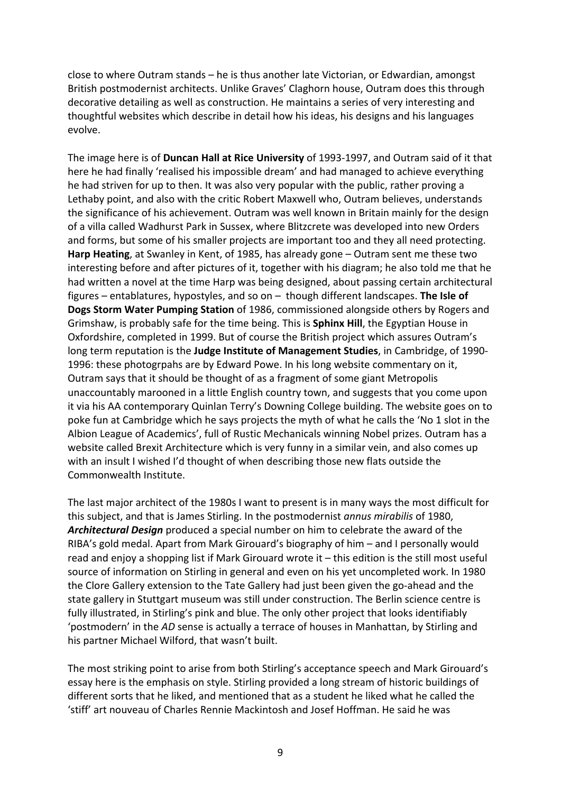close to where Outram stands – he is thus another late Victorian, or Edwardian, amongst British postmodernist architects. Unlike Graves' Claghorn house, Outram does this through decorative detailing as well as construction. He maintains a series of very interesting and thoughtful websites which describe in detail how his ideas, his designs and his languages evolve.

The image here is of **Duncan Hall at Rice University** of 1993-1997, and Outram said of it that here he had finally 'realised his impossible dream' and had managed to achieve everything he had striven for up to then. It was also very popular with the public, rather proving a Lethaby point, and also with the critic Robert Maxwell who, Outram believes, understands the significance of his achievement. Outram was well known in Britain mainly for the design of a villa called Wadhurst Park in Sussex, where Blitzcrete was developed into new Orders and forms, but some of his smaller projects are important too and they all need protecting. **Harp Heating**, at Swanley in Kent, of 1985, has already gone – Outram sent me these two interesting before and after pictures of it, together with his diagram; he also told me that he had written a novel at the time Harp was being designed, about passing certain architectural figures  $-$  entablatures, hypostyles, and so on  $-$  though different landscapes. The Isle of **Dogs Storm Water Pumping Station** of 1986, commissioned alongside others by Rogers and Grimshaw, is probably safe for the time being. This is Sphinx Hill, the Egyptian House in Oxfordshire, completed in 1999. But of course the British project which assures Outram's long term reputation is the **Judge Institute of Management Studies**, in Cambridge, of 1990-1996: these photogrpahs are by Edward Powe. In his long website commentary on it, Outram says that it should be thought of as a fragment of some giant Metropolis unaccountably marooned in a little English country town, and suggests that you come upon it via his AA contemporary Quinlan Terry's Downing College building. The website goes on to poke fun at Cambridge which he says projects the myth of what he calls the 'No 1 slot in the Albion League of Academics', full of Rustic Mechanicals winning Nobel prizes. Outram has a website called Brexit Architecture which is very funny in a similar vein, and also comes up with an insult I wished I'd thought of when describing those new flats outside the Commonwealth Institute.

The last major architect of the 1980s I want to present is in many ways the most difficult for this subject, and that is James Stirling. In the postmodernist *annus mirabilis* of 1980, Architectural Design produced a special number on him to celebrate the award of the RIBA's gold medal. Apart from Mark Girouard's biography of  $him -$  and I personally would read and enjoy a shopping list if Mark Girouard wrote it  $-$  this edition is the still most useful source of information on Stirling in general and even on his yet uncompleted work. In 1980 the Clore Gallery extension to the Tate Gallery had just been given the go-ahead and the state gallery in Stuttgart museum was still under construction. The Berlin science centre is fully illustrated, in Stirling's pink and blue. The only other project that looks identifiably 'postmodern' in the AD sense is actually a terrace of houses in Manhattan, by Stirling and his partner Michael Wilford, that wasn't built.

The most striking point to arise from both Stirling's acceptance speech and Mark Girouard's essay here is the emphasis on style. Stirling provided a long stream of historic buildings of different sorts that he liked, and mentioned that as a student he liked what he called the 'stiff' art nouveau of Charles Rennie Mackintosh and Josef Hoffman. He said he was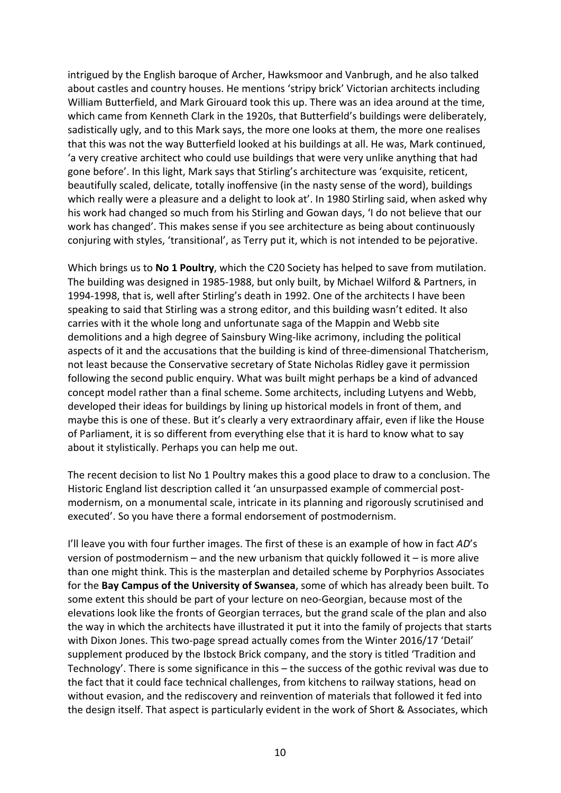intrigued by the English baroque of Archer, Hawksmoor and Vanbrugh, and he also talked about castles and country houses. He mentions 'stripy brick' Victorian architects including William Butterfield, and Mark Girouard took this up. There was an idea around at the time, which came from Kenneth Clark in the 1920s, that Butterfield's buildings were deliberately, sadistically ugly, and to this Mark says, the more one looks at them, the more one realises that this was not the way Butterfield looked at his buildings at all. He was, Mark continued, 'a very creative architect who could use buildings that were very unlike anything that had gone before'. In this light, Mark says that Stirling's architecture was 'exquisite, reticent, beautifully scaled, delicate, totally inoffensive (in the nasty sense of the word), buildings which really were a pleasure and a delight to look at'. In 1980 Stirling said, when asked why his work had changed so much from his Stirling and Gowan days, 'I do not believe that our work has changed'. This makes sense if you see architecture as being about continuously conjuring with styles, 'transitional', as Terry put it, which is not intended to be pejorative.

Which brings us to **No 1 Poultry**, which the C20 Society has helped to save from mutilation. The building was designed in 1985-1988, but only built, by Michael Wilford & Partners, in 1994-1998, that is, well after Stirling's death in 1992. One of the architects I have been speaking to said that Stirling was a strong editor, and this building wasn't edited. It also carries with it the whole long and unfortunate saga of the Mappin and Webb site demolitions and a high degree of Sainsbury Wing-like acrimony, including the political aspects of it and the accusations that the building is kind of three-dimensional Thatcherism, not least because the Conservative secretary of State Nicholas Ridley gave it permission following the second public enquiry. What was built might perhaps be a kind of advanced concept model rather than a final scheme. Some architects, including Lutyens and Webb, developed their ideas for buildings by lining up historical models in front of them, and maybe this is one of these. But it's clearly a very extraordinary affair, even if like the House of Parliament, it is so different from everything else that it is hard to know what to say about it stylistically. Perhaps you can help me out.

The recent decision to list No 1 Poultry makes this a good place to draw to a conclusion. The Historic England list description called it 'an unsurpassed example of commercial postmodernism, on a monumental scale, intricate in its planning and rigorously scrutinised and executed'. So you have there a formal endorsement of postmodernism.

I'll leave you with four further images. The first of these is an example of how in fact *AD's* version of postmodernism – and the new urbanism that quickly followed it – is more alive than one might think. This is the masterplan and detailed scheme by Porphyrios Associates for the **Bay Campus of the University of Swansea**, some of which has already been built. To some extent this should be part of your lecture on neo-Georgian, because most of the elevations look like the fronts of Georgian terraces, but the grand scale of the plan and also the way in which the architects have illustrated it put it into the family of projects that starts with Dixon Jones. This two-page spread actually comes from the Winter 2016/17 'Detail' supplement produced by the Ibstock Brick company, and the story is titled 'Tradition and Technology'. There is some significance in this  $-$  the success of the gothic revival was due to the fact that it could face technical challenges, from kitchens to railway stations, head on without evasion, and the rediscovery and reinvention of materials that followed it fed into the design itself. That aspect is particularly evident in the work of Short & Associates, which